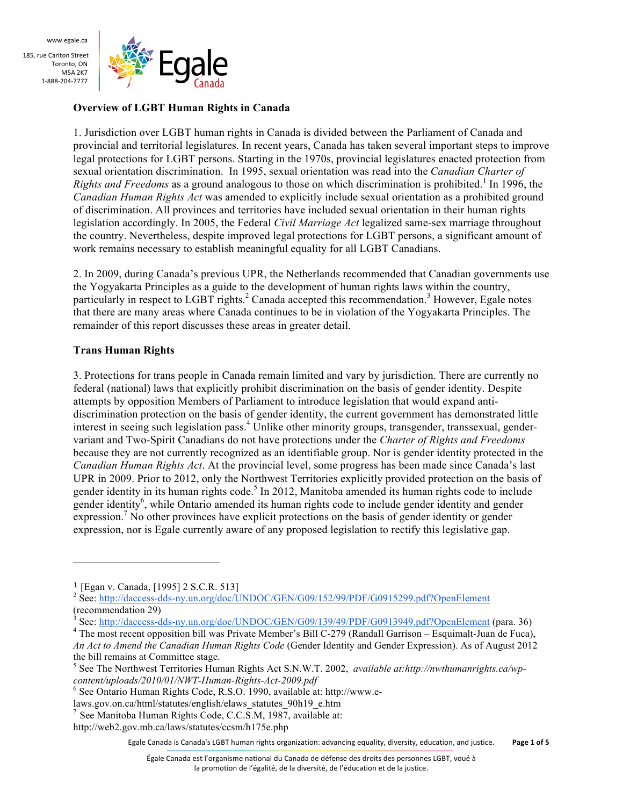

#### **Overview of LGBT Human Rights in Canada**

1. Jurisdiction over LGBT human rights in Canada is divided between the Parliament of Canada and provincial and territorial legislatures. In recent years, Canada has taken several important steps to improve legal protections for LGBT persons. Starting in the 1970s, provincial legislatures enacted protection from sexual orientation discrimination. In 1995, sexual orientation was read into the *Canadian Charter of Rights and Freedoms* as a ground analogous to those on which discrimination is prohibited.<sup>1</sup> In 1996, the *Canadian Human Rights Act* was amended to explicitly include sexual orientation as a prohibited ground of discrimination. All provinces and territories have included sexual orientation in their human rights legislation accordingly. In 2005, the Federal *Civil Marriage Act* legalized same-sex marriage throughout the country. Nevertheless, despite improved legal protections for LGBT persons, a significant amount of work remains necessary to establish meaningful equality for all LGBT Canadians.

2. In 2009, during Canada's previous UPR, the Netherlands recommended that Canadian governments use the Yogyakarta Principles as a guide to the development of human rights laws within the country, particularly in respect to  $LGBT$  rights.<sup>2</sup> Canada accepted this recommendation.<sup>3</sup> However, Egale notes that there are many areas where Canada continues to be in violation of the Yogyakarta Principles. The remainder of this report discusses these areas in greater detail.

## **Trans Human Rights**

3. Protections for trans people in Canada remain limited and vary by jurisdiction. There are currently no federal (national) laws that explicitly prohibit discrimination on the basis of gender identity. Despite attempts by opposition Members of Parliament to introduce legislation that would expand antidiscrimination protection on the basis of gender identity, the current government has demonstrated little interest in seeing such legislation pass.<sup>4</sup> Unlike other minority groups, transgender, transsexual, gendervariant and Two-Spirit Canadians do not have protections under the *Charter of Rights and Freedoms* because they are not currently recognized as an identifiable group. Nor is gender identity protected in the *Canadian Human Rights Act*. At the provincial level, some progress has been made since Canada's last UPR in 2009. Prior to 2012, only the Northwest Territories explicitly provided protection on the basis of gender identity in its human rights code.<sup>5</sup> In 2012, Manitoba amended its human rights code to include gender identity<sup>6</sup>, while Ontario amended its human rights code to include gender identity and gender expression.<sup>7</sup> No other provinces have explicit protections on the basis of gender identity or gender expression, nor is Egale currently aware of any proposed legislation to rectify this legislative gap.

 

Egale Canada is Canada's LGBT human rights organization: advancing equality, diversity, education, and justice. **Page 1 of 5** 

<sup>&</sup>lt;sup>1</sup> [Egan v. Canada, [1995] 2 S.C.R. 513]<br><sup>2</sup> See: http://daccess-dds-ny.un.org/doc/UNDOC/GEN/G09/152/99/PDF/G0915299.pdf?OpenElement (recommendation 29)<br>
<sup>3</sup> See: http://daccess-dds-ny.un.org/doc/UNDOC/GEN/G09/139/49/PDF/G0913949.pdf?OpenElement (para. 36)

<sup>&</sup>lt;sup>4</sup> The most recent opposition bill was Private Member's Bill C-279 (Randall Garrison – Esquimalt-Juan de Fuca), *An Act to Amend the Canadian Human Rights Code* (Gender Identity and Gender Expression). As of August 2012 the bill remains at Committee stage.

<sup>5</sup> See The Northwest Territories Human Rights Act S.N.W.T. 2002, *available at:http://nwthumanrights.ca/wpcontent/uploads/2010/01/NWT-Human-Rights-Act-2009.pdf* <sup>6</sup> See Ontario Human Rights Code, R.S.O. 1990, available at: http://www.e-

laws.gov.on.ca/html/statutes/english/elaws\_statutes\_90h19\_e.htm

<sup>&</sup>lt;sup>7</sup> See Manitoba Human Rights Code, C.C.S.M, 1987, available at: http://web2.gov.mb.ca/laws/statutes/ccsm/h175e.php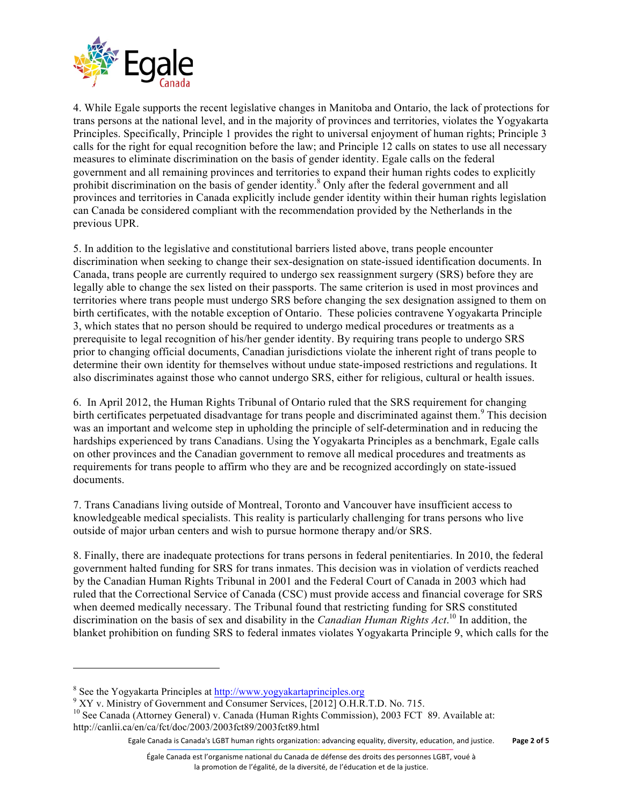

4. While Egale supports the recent legislative changes in Manitoba and Ontario, the lack of protections for trans persons at the national level, and in the majority of provinces and territories, violates the Yogyakarta Principles. Specifically, Principle 1 provides the right to universal enjoyment of human rights; Principle 3 calls for the right for equal recognition before the law; and Principle 12 calls on states to use all necessary measures to eliminate discrimination on the basis of gender identity. Egale calls on the federal government and all remaining provinces and territories to expand their human rights codes to explicitly prohibit discrimination on the basis of gender identity.<sup>8</sup> Only after the federal government and all provinces and territories in Canada explicitly include gender identity within their human rights legislation can Canada be considered compliant with the recommendation provided by the Netherlands in the previous UPR.

5. In addition to the legislative and constitutional barriers listed above, trans people encounter discrimination when seeking to change their sex-designation on state-issued identification documents. In Canada, trans people are currently required to undergo sex reassignment surgery (SRS) before they are legally able to change the sex listed on their passports. The same criterion is used in most provinces and territories where trans people must undergo SRS before changing the sex designation assigned to them on birth certificates, with the notable exception of Ontario. These policies contravene Yogyakarta Principle 3, which states that no person should be required to undergo medical procedures or treatments as a prerequisite to legal recognition of his/her gender identity. By requiring trans people to undergo SRS prior to changing official documents, Canadian jurisdictions violate the inherent right of trans people to determine their own identity for themselves without undue state-imposed restrictions and regulations. It also discriminates against those who cannot undergo SRS, either for religious, cultural or health issues.

6. In April 2012, the Human Rights Tribunal of Ontario ruled that the SRS requirement for changing birth certificates perpetuated disadvantage for trans people and discriminated against them.<sup>9</sup> This decision was an important and welcome step in upholding the principle of self-determination and in reducing the hardships experienced by trans Canadians. Using the Yogyakarta Principles as a benchmark, Egale calls on other provinces and the Canadian government to remove all medical procedures and treatments as requirements for trans people to affirm who they are and be recognized accordingly on state-issued documents.

7. Trans Canadians living outside of Montreal, Toronto and Vancouver have insufficient access to knowledgeable medical specialists. This reality is particularly challenging for trans persons who live outside of major urban centers and wish to pursue hormone therapy and/or SRS.

8. Finally, there are inadequate protections for trans persons in federal penitentiaries. In 2010, the federal government halted funding for SRS for trans inmates. This decision was in violation of verdicts reached by the Canadian Human Rights Tribunal in 2001 and the Federal Court of Canada in 2003 which had ruled that the Correctional Service of Canada (CSC) must provide access and financial coverage for SRS when deemed medically necessary. The Tribunal found that restricting funding for SRS constituted discrimination on the basis of sex and disability in the *Canadian Human Rights Act*. <sup>10</sup> In addition, the blanket prohibition on funding SRS to federal inmates violates Yogyakarta Principle 9, which calls for the

<u> 1989 - Johann Stein, fransk politik (d. 1989)</u>

<sup>&</sup>lt;sup>8</sup> See the Yogyakarta Principles at  $\frac{http://www.yogyakartaprinciples.org}{\,}$  XY v. Ministry of Government and Consumer Services, [2012] O.H.R.T.D. No. 715.

<sup>&</sup>lt;sup>10</sup> See Canada (Attorney General) v. Canada (Human Rights Commission), 2003 FCT 89. Available at: http://canlii.ca/en/ca/fct/doc/2003/2003fct89/2003fct89.html

Egale Canada is Canada's LGBT human rights organization: advancing equality, diversity, education, and justice. Page 2 of 5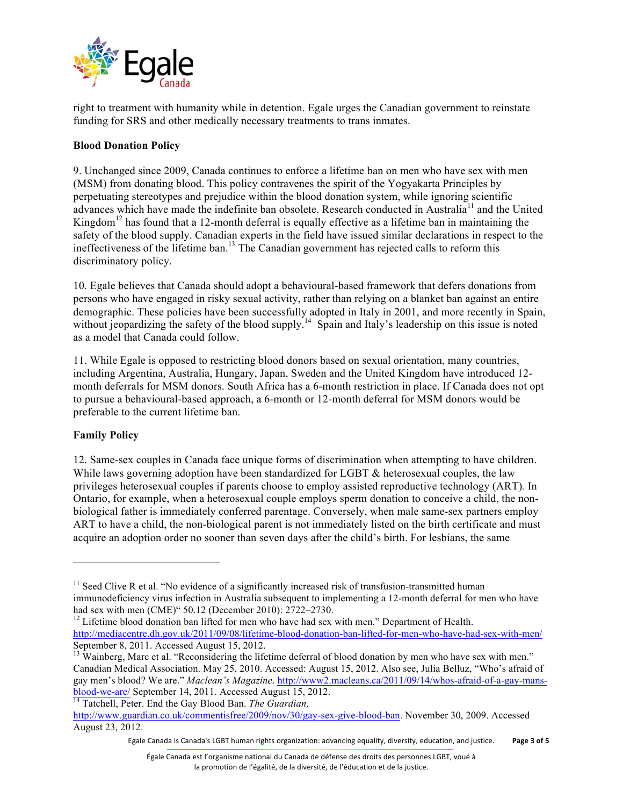

right to treatment with humanity while in detention. Egale urges the Canadian government to reinstate funding for SRS and other medically necessary treatments to trans inmates.

# **Blood Donation Policy**

9. Unchanged since 2009, Canada continues to enforce a lifetime ban on men who have sex with men (MSM) from donating blood. This policy contravenes the spirit of the Yogyakarta Principles by perpetuating stereotypes and prejudice within the blood donation system, while ignoring scientific advances which have made the indefinite ban obsolete. Research conducted in Australia<sup>11</sup> and the United Kingdom<sup>12</sup> has found that a 12-month deferral is equally effective as a lifetime ban in maintaining the safety of the blood supply. Canadian experts in the field have issued similar declarations in respect to the ineffectiveness of the lifetime ban.<sup>13</sup> The Canadian government has rejected calls to reform this discriminatory policy.

10. Egale believes that Canada should adopt a behavioural-based framework that defers donations from persons who have engaged in risky sexual activity, rather than relying on a blanket ban against an entire demographic. These policies have been successfully adopted in Italy in 2001, and more recently in Spain, without jeopardizing the safety of the blood supply.<sup>14</sup> Spain and Italy's leadership on this issue is noted as a model that Canada could follow.

11. While Egale is opposed to restricting blood donors based on sexual orientation, many countries, including Argentina, Australia, Hungary, Japan, Sweden and the United Kingdom have introduced 12 month deferrals for MSM donors. South Africa has a 6-month restriction in place. If Canada does not opt to pursue a behavioural-based approach, a 6-month or 12-month deferral for MSM donors would be preferable to the current lifetime ban.

## **Family Policy**

<u> 1989 - Johann Stein, fransk politik (d. 1989)</u>

12. Same-sex couples in Canada face unique forms of discrimination when attempting to have children. While laws governing adoption have been standardized for LGBT & heterosexual couples, the law privileges heterosexual couples if parents choose to employ assisted reproductive technology (ART)*.* In Ontario, for example, when a heterosexual couple employs sperm donation to conceive a child, the nonbiological father is immediately conferred parentage. Conversely, when male same-sex partners employ ART to have a child, the non-biological parent is not immediately listed on the birth certificate and must acquire an adoption order no sooner than seven days after the child's birth. For lesbians, the same

Egale Canada is Canada's LGBT human rights organization: advancing equality, diversity, education, and justice. **Page 3 of 5** 

 $11$  Seed Clive R et al. "No evidence of a significantly increased risk of transfusion-transmitted human immunodeficiency virus infection in Australia subsequent to implementing a 12-month deferral for men who have had sex with men (CME)" 50.12 (December 2010): 2722–2730.<br><sup>12</sup> Lifetime blood donation ban lifted for men who have had sex with men." Department of Health.

http://mediacentre.dh.gov.uk/2011/09/08/lifetime-blood-donation-ban-lifted-for-men-who-have-had-sex-with-men/ September 8, 2011. Accessed August 15, 2012.

 $<sup>13</sup>$  Wainberg, Marc et al. "Reconsidering the lifetime deferral of blood donation by men who have sex with men."</sup> Canadian Medical Association. May 25, 2010. Accessed: August 15, 2012. Also see, Julia Belluz, "Who's afraid of gay men's blood? We are." *Maclean's Magazine*. http://www2.macleans.ca/2011/09/14/whos-afraid-of-a-gay-mansblood-we-are/ September 14, 2011. Accessed August 15, 2012. <sup>14</sup> Tatchell, Peter. End the Gay Blood Ban. *The Guardian,* 

http://www.guardian.co.uk/commentisfree/2009/nov/30/gay-sex-give-blood-ban. November 30, 2009. Accessed August 23, 2012.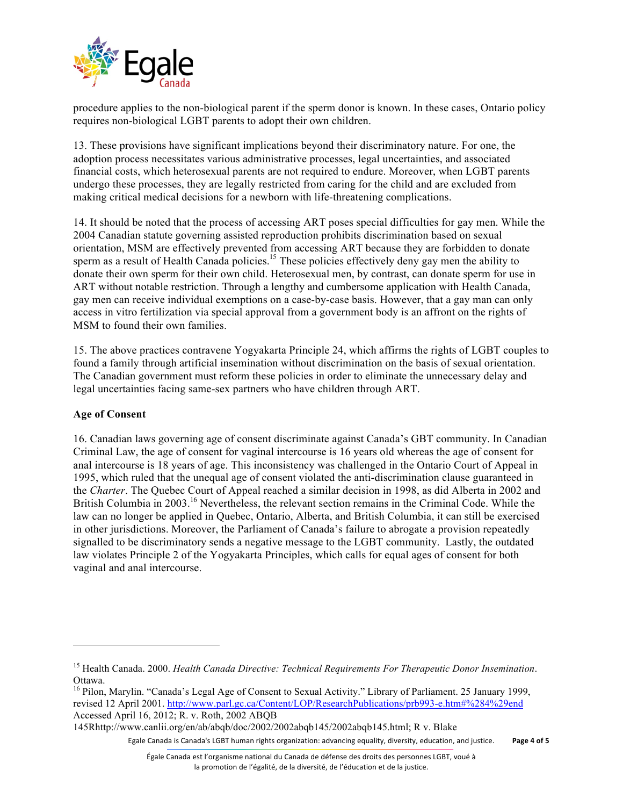

procedure applies to the non-biological parent if the sperm donor is known. In these cases, Ontario policy requires non-biological LGBT parents to adopt their own children.

13. These provisions have significant implications beyond their discriminatory nature. For one, the adoption process necessitates various administrative processes, legal uncertainties, and associated financial costs, which heterosexual parents are not required to endure. Moreover, when LGBT parents undergo these processes, they are legally restricted from caring for the child and are excluded from making critical medical decisions for a newborn with life-threatening complications.

14. It should be noted that the process of accessing ART poses special difficulties for gay men. While the 2004 Canadian statute governing assisted reproduction prohibits discrimination based on sexual orientation, MSM are effectively prevented from accessing ART because they are forbidden to donate sperm as a result of Health Canada policies.<sup>15</sup> These policies effectively deny gay men the ability to donate their own sperm for their own child. Heterosexual men, by contrast, can donate sperm for use in ART without notable restriction. Through a lengthy and cumbersome application with Health Canada, gay men can receive individual exemptions on a case-by-case basis. However, that a gay man can only access in vitro fertilization via special approval from a government body is an affront on the rights of MSM to found their own families.

15. The above practices contravene Yogyakarta Principle 24, which affirms the rights of LGBT couples to found a family through artificial insemination without discrimination on the basis of sexual orientation. The Canadian government must reform these policies in order to eliminate the unnecessary delay and legal uncertainties facing same-sex partners who have children through ART.

## **Age of Consent**

<u> 1989 - Johann Stein, fransk politik (d. 1989)</u>

16. Canadian laws governing age of consent discriminate against Canada's GBT community. In Canadian Criminal Law, the age of consent for vaginal intercourse is 16 years old whereas the age of consent for anal intercourse is 18 years of age. This inconsistency was challenged in the Ontario Court of Appeal in 1995, which ruled that the unequal age of consent violated the anti-discrimination clause guaranteed in the *Charter*. The Quebec Court of Appeal reached a similar decision in 1998, as did Alberta in 2002 and British Columbia in 2003.<sup>16</sup> Nevertheless, the relevant section remains in the Criminal Code. While the law can no longer be applied in Quebec, Ontario, Alberta, and British Columbia, it can still be exercised in other jurisdictions. Moreover, the Parliament of Canada's failure to abrogate a provision repeatedly signalled to be discriminatory sends a negative message to the LGBT community. Lastly, the outdated law violates Principle 2 of the Yogyakarta Principles, which calls for equal ages of consent for both vaginal and anal intercourse.

145Rhttp://www.canlii.org/en/ab/abqb/doc/2002/2002abqb145/2002abqb145.html; R v. Blake

Egale Canada is Canada's LGBT human rights organization: advancing equality, diversity, education, and justice. Page 4 of 5

<sup>15</sup> Health Canada. 2000. *Health Canada Directive: Technical Requirements For Therapeutic Donor Insemination*. Ottawa.

<sup>&</sup>lt;sup>16</sup> Pilon, Marylin. "Canada's Legal Age of Consent to Sexual Activity." Library of Parliament. 25 January 1999, revised 12 April 2001. http://www.parl.gc.ca/Content/LOP/ResearchPublications/prb993-e.htm#%284%29end Accessed April 16, 2012; R. v. Roth, 2002 ABQB